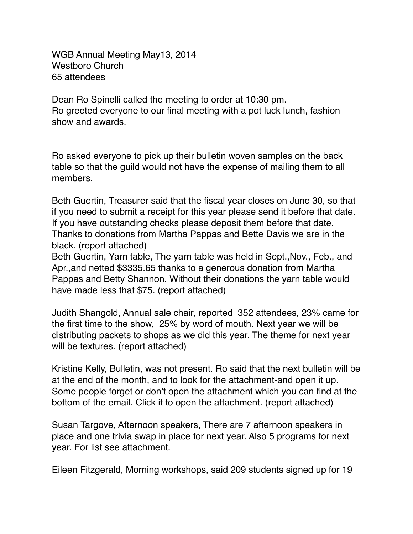WGB Annual Meeting May13, 2014 Westboro Church 65 attendees

Dean Ro Spinelli called the meeting to order at 10:30 pm. Ro greeted everyone to our final meeting with a pot luck lunch, fashion show and awards.

Ro asked everyone to pick up their bulletin woven samples on the back table so that the guild would not have the expense of mailing them to all members.

Beth Guertin, Treasurer said that the fiscal year closes on June 30, so that if you need to submit a receipt for this year please send it before that date. If you have outstanding checks please deposit them before that date. Thanks to donations from Martha Pappas and Bette Davis we are in the black. (report attached)

Beth Guertin, Yarn table, The yarn table was held in Sept.,Nov., Feb., and Apr.,and netted \$3335.65 thanks to a generous donation from Martha Pappas and Betty Shannon. Without their donations the yarn table would have made less that \$75. (report attached)

Judith Shangold, Annual sale chair, reported 352 attendees, 23% came for the first time to the show, 25% by word of mouth. Next year we will be distributing packets to shops as we did this year. The theme for next year will be textures. (report attached)

Kristine Kelly, Bulletin, was not present. Ro said that the next bulletin will be at the end of the month, and to look for the attachment-and open it up. Some people forget or don't open the attachment which you can find at the bottom of the email. Click it to open the attachment. (report attached)

Susan Targove, Afternoon speakers, There are 7 afternoon speakers in place and one trivia swap in place for next year. Also 5 programs for next year. For list see attachment.

Eileen Fitzgerald, Morning workshops, said 209 students signed up for 19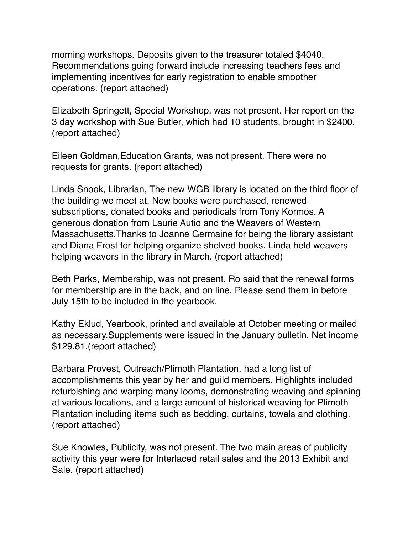morning workshops. Deposits given to the treasurer totaled \$4040. Recommendations going forward include increasing teachers fees and implementing incentives for early registration to enable smoother operations. (report attached)

Elizabeth Springett, Special Workshop, was not present. Her report on the 3 day workshop with Sue Butler, which had 10 students, brought in \$2400, (report attached)

Eileen Goldman,Education Grants, was not present. There were no requests for grants. (report attached)

Linda Snook, Librarian, The new WGB library is located on the third floor of the building we meet at. New books were purchased, renewed subscriptions, donated books and periodicals from Tony Kormos. A generous donation from Laurie Autio and the Weavers of Western Massachusetts.Thanks to Joanne Germaine for being the library assistant and Diana Frost for helping organize shelved books. Linda held weavers helping weavers in the library in March. (report attached)

Beth Parks, Membership, was not present. Ro said that the renewal forms for membership are in the back, and on line. Please send them in before July 15th to be included in the yearbook.

Kathy Eklud, Yearbook, printed and available at October meeting or mailed as necessary.Supplements were issued in the January bulletin. Net income \$129.81.(report attached)

Barbara Provest, Outreach/Plimoth Plantation, had a long list of accomplishments this year by her and guild members. Highlights included refurbishing and warping many looms, demonstrating weaving and spinning at various locations, and a large amount of historical weaving for Plimoth Plantation including items such as bedding, curtains, towels and clothing. (report attached)

Sue Knowles, Publicity, was not present. The two main areas of publicity activity this year were for Interlaced retail sales and the 2013 Exhibit and Sale. (report attached)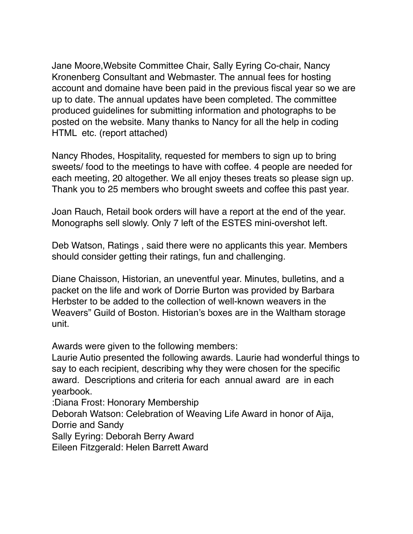Jane Moore,Website Committee Chair, Sally Eyring Co-chair, Nancy Kronenberg Consultant and Webmaster. The annual fees for hosting account and domaine have been paid in the previous fiscal year so we are up to date. The annual updates have been completed. The committee produced guidelines for submitting information and photographs to be posted on the website. Many thanks to Nancy for all the help in coding HTML etc. (report attached)

Nancy Rhodes, Hospitality, requested for members to sign up to bring sweets/ food to the meetings to have with coffee. 4 people are needed for each meeting, 20 altogether. We all enjoy theses treats so please sign up. Thank you to 25 members who brought sweets and coffee this past year.

Joan Rauch, Retail book orders will have a report at the end of the year. Monographs sell slowly. Only 7 left of the ESTES mini-overshot left.

Deb Watson, Ratings , said there were no applicants this year. Members should consider getting their ratings, fun and challenging.

Diane Chaisson, Historian, an uneventful year. Minutes, bulletins, and a packet on the life and work of Dorrie Burton was provided by Barbara Herbster to be added to the collection of well-known weavers in the Weavers" Guild of Boston. Historian's boxes are in the Waltham storage unit.

Awards were given to the following members:

Laurie Autio presented the following awards. Laurie had wonderful things to say to each recipient, describing why they were chosen for the specific award. Descriptions and criteria for each annual award are in each yearbook.

:Diana Frost: Honorary Membership

Deborah Watson: Celebration of Weaving Life Award in honor of Aija, Dorrie and Sandy

Sally Eyring: Deborah Berry Award

Eileen Fitzgerald: Helen Barrett Award